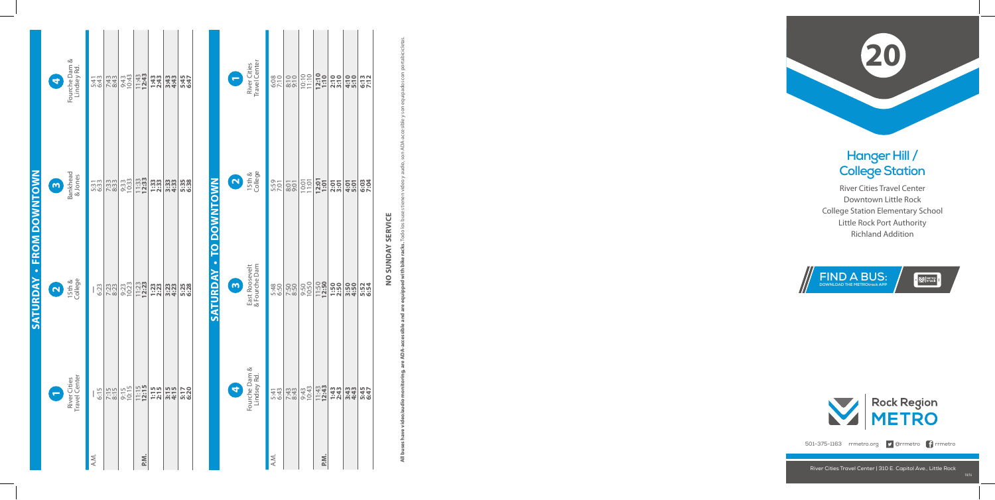## **Hanger Hill / College Station**

River Cities Travel Center Downtown Little Rock College Station Elementary School Little Rock Port Authority Richland Addition







501-375-1163 rrmetro.org **9** @rrmetro **f** rrmetro

**All buses have video/audio monitoring, are ADA-accessible and are equipped with bike racks.** Todo los buses tienen video y audio, son ADA-accesible y son equipados con portabicicletas. bike -£  $\geq$  $\frac{1}{2}$ 

## NO SUNDAY SERVICE **no sunday service**

|                          | 4                       | Fourche Dam &<br>Lindsey Rd.         | 5:43<br>6:43 | 7:43<br>8:43 | 9:43<br>10:43     | $11:43$<br>12:43   | <b>1:43</b><br>2:43 | 3:43<br>4:43   | 5:45<br>6:47 |                        |                | Travel Center<br>River Cities   | 6:08         | $8:10$<br>$9:10$ | 10:10                 | 12:10<br>1:10    | 2:10         | 4:10         | 6:13         |
|--------------------------|-------------------------|--------------------------------------|--------------|--------------|-------------------|--------------------|---------------------|----------------|--------------|------------------------|----------------|---------------------------------|--------------|------------------|-----------------------|------------------|--------------|--------------|--------------|
|                          | $\mathbf{\tilde{c}}$    | Bankhead<br>& Jones                  | 5:33         | 7:33<br>8:33 | 9:33<br>10:33     | $11:33$<br>$12:33$ | $1:33$<br>$2:3$     | 3:33<br>4:33   | 5:38<br>6:38 |                        | $\boxed{N}$    | 15th &<br>College               | 5:59         | $8:01$<br>$9:01$ | $\frac{10:01}{11:01}$ | 12:01<br>1:01    | 2:01         | 4:01         | 6:03<br>7:04 |
| SATURDAY - FROM DOWNTOWN | $\overline{\mathbf{C}}$ | 15th &<br>College                    | 6:23         | 7:23         | 9:23<br>10:23     | $11:23$<br>$12:23$ | <b>1:23</b><br>2:23 | 3:23<br>4:23   | 5:28<br>6:28 | SATURDAY - TO DOWNTOWN | $\overline{3}$ | & Fourche Dam<br>East Roosevelt | 5:48<br>6:50 | 7:50<br>8:50     | 9:50<br>10:50         | 11:50            | 1:50<br>2:50 | 3:50         | 5:52<br>6:54 |
|                          |                         | Travel Center<br><b>River Cities</b> | 6:15         | 7:15<br>8:15 | $9:15$<br>$10:15$ | $11:15$<br>$12:15$ | $1:15$<br>$2:15$    | $3:15$<br>4:15 | 5:17<br>6:20 |                        |                | Fourche Dam &<br>Lindsey Rd     | 5:43<br>6:43 | 7:43<br>8:43     | 9:43<br>10:43         | $11:43$<br>12:43 | 1:43<br>2:43 | 3:43<br>4:43 | 5:45<br>6:47 |
|                          |                         |                                      | A.M.         |              |                   | P.M.               |                     |                |              |                        |                |                                 | A.M.         |                  |                       | P.M.             |              |              |              |